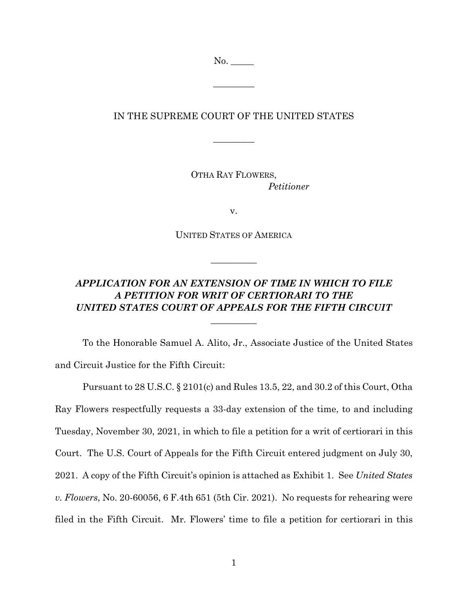No. \_\_\_\_\_

 $\overline{\phantom{a}}$  . The set of  $\overline{\phantom{a}}$ 

## IN THE SUPREME COURT OF THE UNITED STATES

 $\overline{\phantom{a}}$ 

OTHA RAY FLOWERS, *Petitioner*

v.

UNITED STATES OF AMERICA

 $\overline{\phantom{a}}$ 

## *APPLICATION FOR AN EXTENSION OF TIME IN WHICH TO FILE A PETITION FOR WRIT OF CERTIORARI TO THE UNITED STATES COURT OF APPEALS FOR THE FIFTH CIRCUIT*

 $\overline{\phantom{a}}$  , where  $\overline{\phantom{a}}$ 

To the Honorable Samuel A. Alito, Jr., Associate Justice of the United States and Circuit Justice for the Fifth Circuit:

Pursuant to 28 U.S.C. § 2101(c) and Rules 13.5, 22, and 30.2 of this Court, Otha Ray Flowers respectfully requests a 33-day extension of the time, to and including Tuesday, November 30, 2021, in which to file a petition for a writ of certiorari in this Court. The U.S. Court of Appeals for the Fifth Circuit entered judgment on July 30, 2021. A copy of the Fifth Circuit's opinion is attached as Exhibit 1. See *United States v. Flowers*, No. 20-60056, 6 F.4th 651 (5th Cir. 2021). No requests for rehearing were filed in the Fifth Circuit. Mr. Flowers' time to file a petition for certiorari in this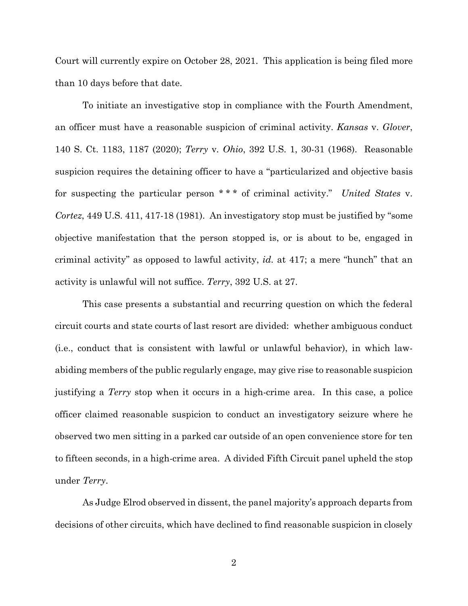Court will currently expire on October 28, 2021. This application is being filed more than 10 days before that date.

To initiate an investigative stop in compliance with the Fourth Amendment, an officer must have a reasonable suspicion of criminal activity. *Kansas* v. *Glover*, 140 S. Ct. 1183, 1187 (2020); *Terry* v*. Ohio*, 392 U.S. 1, 30-31 (1968). Reasonable suspicion requires the detaining officer to have a "particularized and objective basis for suspecting the particular person \* \* \* of criminal activity." *United States* v. *Cortez*, 449 U.S. 411, 417-18 (1981). An investigatory stop must be justified by "some objective manifestation that the person stopped is, or is about to be, engaged in criminal activity" as opposed to lawful activity, *id.* at 417; a mere "hunch" that an activity is unlawful will not suffice. *Terry*, 392 U.S. at 27.

This case presents a substantial and recurring question on which the federal circuit courts and state courts of last resort are divided: whether ambiguous conduct (i.e., conduct that is consistent with lawful or unlawful behavior), in which lawabiding members of the public regularly engage, may give rise to reasonable suspicion justifying a *Terry* stop when it occurs in a high-crime area. In this case, a police officer claimed reasonable suspicion to conduct an investigatory seizure where he observed two men sitting in a parked car outside of an open convenience store for ten to fifteen seconds, in a high-crime area. A divided Fifth Circuit panel upheld the stop under *Terry*.

As Judge Elrod observed in dissent, the panel majority's approach departs from decisions of other circuits, which have declined to find reasonable suspicion in closely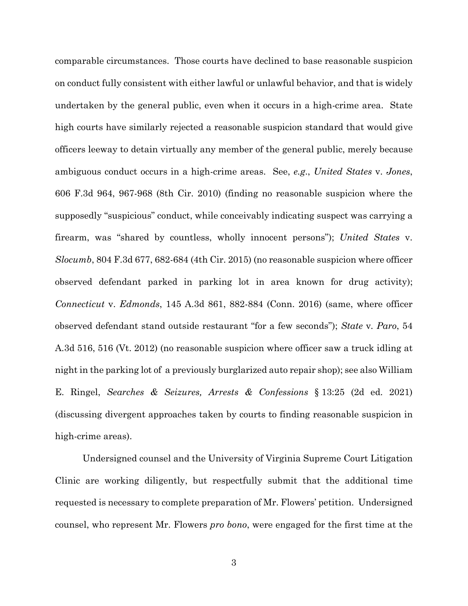comparable circumstances. Those courts have declined to base reasonable suspicion on conduct fully consistent with either lawful or unlawful behavior, and that is widely undertaken by the general public, even when it occurs in a high-crime area. State high courts have similarly rejected a reasonable suspicion standard that would give officers leeway to detain virtually any member of the general public, merely because ambiguous conduct occurs in a high-crime areas. See, *e.g*., *United States* v. *Jones*, 606 F.3d 964, 967-968 (8th Cir. 2010) (finding no reasonable suspicion where the supposedly "suspicious" conduct, while conceivably indicating suspect was carrying a firearm, was "shared by countless, wholly innocent persons"); *United States* v. *Slocumb*, 804 F.3d 677, 682-684 (4th Cir. 2015) (no reasonable suspicion where officer observed defendant parked in parking lot in area known for drug activity); *Connecticut* v. *Edmonds*, 145 A.3d 861, 882-884 (Conn. 2016) (same, where officer observed defendant stand outside restaurant "for a few seconds"); *State* v*. Paro*, 54 A.3d 516, 516 (Vt. 2012) (no reasonable suspicion where officer saw a truck idling at night in the parking lot of a previously burglarized auto repair shop); see also William E. Ringel, *Searches & Seizures, Arrests & Confessions* § 13:25 (2d ed. 2021) (discussing divergent approaches taken by courts to finding reasonable suspicion in high-crime areas).

Undersigned counsel and the University of Virginia Supreme Court Litigation Clinic are working diligently, but respectfully submit that the additional time requested is necessary to complete preparation of Mr. Flowers' petition. Undersigned counsel, who represent Mr. Flowers *pro bono*, were engaged for the first time at the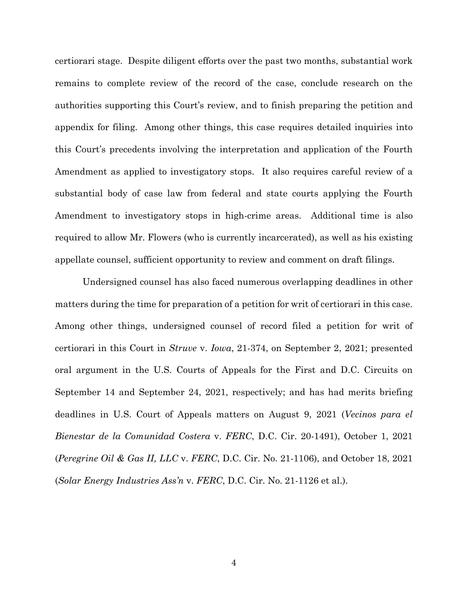certiorari stage. Despite diligent efforts over the past two months, substantial work remains to complete review of the record of the case, conclude research on the authorities supporting this Court's review, and to finish preparing the petition and appendix for filing. Among other things, this case requires detailed inquiries into this Court's precedents involving the interpretation and application of the Fourth Amendment as applied to investigatory stops. It also requires careful review of a substantial body of case law from federal and state courts applying the Fourth Amendment to investigatory stops in high-crime areas. Additional time is also required to allow Mr. Flowers (who is currently incarcerated), as well as his existing appellate counsel, sufficient opportunity to review and comment on draft filings.

Undersigned counsel has also faced numerous overlapping deadlines in other matters during the time for preparation of a petition for writ of certiorari in this case. Among other things, undersigned counsel of record filed a petition for writ of certiorari in this Court in *Struve* v. *Iowa*, 21-374, on September 2, 2021; presented oral argument in the U.S. Courts of Appeals for the First and D.C. Circuits on September 14 and September 24, 2021, respectively; and has had merits briefing deadlines in U.S. Court of Appeals matters on August 9, 2021 (*Vecinos para el Bienestar de la Comunidad Costera* v. *FERC*, D.C. Cir. 20-1491), October 1, 2021 (*Peregrine Oil & Gas II, LLC* v. *FERC*, D.C. Cir. No. 21-1106), and October 18, 2021 (*Solar Energy Industries Ass'n* v. *FERC*, D.C. Cir. No. 21-1126 et al.).